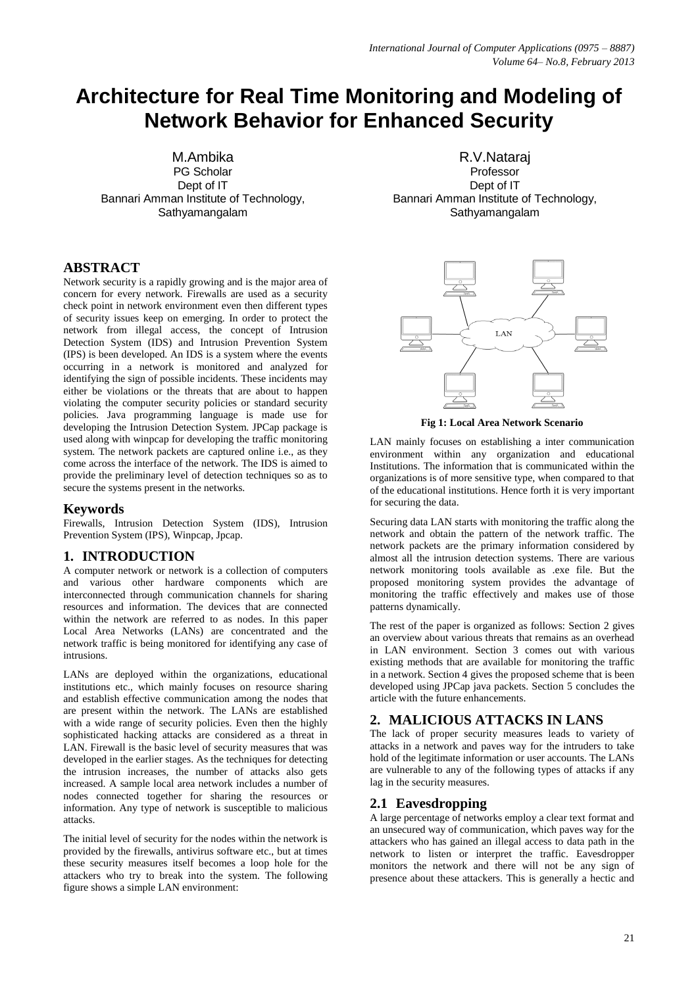# **Architecture for Real Time Monitoring and Modeling of Network Behavior for Enhanced Security**

M.Ambika PG Scholar Dept of IT Bannari Amman Institute of Technology, Sathyamangalam

# **ABSTRACT**

Network security is a rapidly growing and is the major area of concern for every network. Firewalls are used as a security check point in network environment even then different types of security issues keep on emerging. In order to protect the network from illegal access, the concept of Intrusion Detection System (IDS) and Intrusion Prevention System (IPS) is been developed. An IDS is a system where the events occurring in a network is monitored and analyzed for identifying the sign of possible incidents. These incidents may either be violations or the threats that are about to happen violating the computer security policies or standard security policies. Java programming language is made use for developing the Intrusion Detection System. JPCap package is used along with winpcap for developing the traffic monitoring system. The network packets are captured online i.e., as they come across the interface of the network. The IDS is aimed to provide the preliminary level of detection techniques so as to secure the systems present in the networks.

# **Keywords**

Firewalls, Intrusion Detection System (IDS), Intrusion Prevention System (IPS), Winpcap, Jpcap.

# **1. INTRODUCTION**

A computer network or network is a collection of computers and various other hardware components which are interconnected through communication channels for sharing resources and information. The devices that are connected within the network are referred to as nodes. In this paper Local Area Networks (LANs) are concentrated and the network traffic is being monitored for identifying any case of intrusions.

LANs are deployed within the organizations, educational institutions etc., which mainly focuses on resource sharing and establish effective communication among the nodes that are present within the network. The LANs are established with a wide range of security policies. Even then the highly sophisticated hacking attacks are considered as a threat in LAN. Firewall is the basic level of security measures that was developed in the earlier stages. As the techniques for detecting the intrusion increases, the number of attacks also gets increased. A sample local area network includes a number of nodes connected together for sharing the resources or information. Any type of network is susceptible to malicious attacks.

The initial level of security for the nodes within the network is provided by the firewalls, antivirus software etc., but at times these security measures itself becomes a loop hole for the attackers who try to break into the system. The following figure shows a simple LAN environment:

R.V.Nataraj Professor Dept of IT Bannari Amman Institute of Technology, Sathyamangalam



**Fig 1: Local Area Network Scenario**

LAN mainly focuses on establishing a inter communication environment within any organization and educational Institutions. The information that is communicated within the organizations is of more sensitive type, when compared to that of the educational institutions. Hence forth it is very important for securing the data.

Securing data LAN starts with monitoring the traffic along the network and obtain the pattern of the network traffic. The network packets are the primary information considered by almost all the intrusion detection systems. There are various network monitoring tools available as .exe file. But the proposed monitoring system provides the advantage of monitoring the traffic effectively and makes use of those patterns dynamically.

The rest of the paper is organized as follows: Section 2 gives an overview about various threats that remains as an overhead in LAN environment. Section 3 comes out with various existing methods that are available for monitoring the traffic in a network. Section 4 gives the proposed scheme that is been developed using JPCap java packets. Section 5 concludes the article with the future enhancements.

# **2. MALICIOUS ATTACKS IN LANS**

The lack of proper security measures leads to variety of attacks in a network and paves way for the intruders to take hold of the legitimate information or user accounts. The LANs are vulnerable to any of the following types of attacks if any lag in the security measures.

# **2.1 Eavesdropping**

A large percentage of networks employ a clear text format and an unsecured way of communication, which paves way for the attackers who has gained an illegal access to data path in the network to listen or interpret the traffic. Eavesdropper monitors the network and there will not be any sign of presence about these attackers. This is generally a hectic and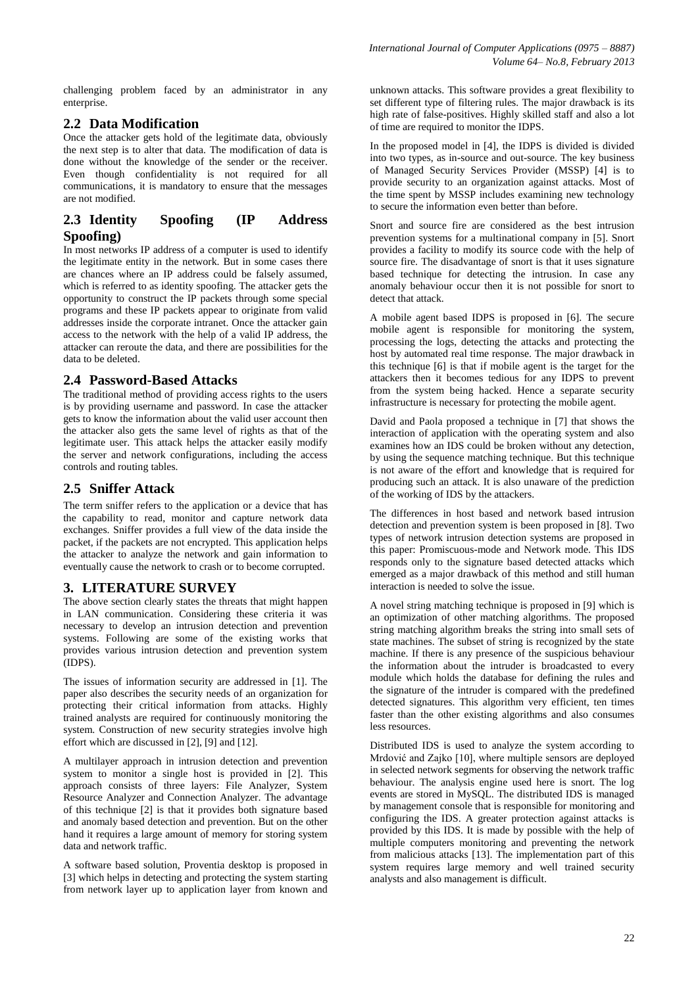challenging problem faced by an administrator in any enterprise.

# **2.2 Data Modification**

Once the attacker gets hold of the legitimate data, obviously the next step is to alter that data. The modification of data is done without the knowledge of the sender or the receiver. Even though confidentiality is not required for all communications, it is mandatory to ensure that the messages are not modified.

# **2.3 Identity Spoofing (IP Address Spoofing)**

In most networks IP address of a computer is used to identify the legitimate entity in the network. But in some cases there are chances where an IP address could be falsely assumed, which is referred to as identity spoofing. The attacker gets the opportunity to construct the IP packets through some special programs and these IP packets appear to originate from valid addresses inside the corporate intranet. Once the attacker gain access to the network with the help of a valid IP address, the attacker can reroute the data, and there are possibilities for the data to be deleted.

# **2.4 Password-Based Attacks**

The traditional method of providing access rights to the users is by providing username and password. In case the attacker gets to know the information about the valid user account then the attacker also gets the same level of rights as that of the legitimate user. This attack helps the attacker easily modify the server and network configurations, including the access controls and routing tables.

# **2.5 Sniffer Attack**

The term sniffer refers to the application or a device that has the capability to read, monitor and capture network data exchanges. Sniffer provides a full view of the data inside the packet, if the packets are not encrypted. This application helps the attacker to analyze the network and gain information to eventually cause the network to crash or to become corrupted.

# **3. LITERATURE SURVEY**

The above section clearly states the threats that might happen in LAN communication. Considering these criteria it was necessary to develop an intrusion detection and prevention systems. Following are some of the existing works that provides various intrusion detection and prevention system (IDPS).

The issues of information security are addressed in [1]. The paper also describes the security needs of an organization for protecting their critical information from attacks. Highly trained analysts are required for continuously monitoring the system. Construction of new security strategies involve high effort which are discussed in [2], [9] and [12].

A multilayer approach in intrusion detection and prevention system to monitor a single host is provided in [2]. This approach consists of three layers: File Analyzer, System Resource Analyzer and Connection Analyzer. The advantage of this technique [2] is that it provides both signature based and anomaly based detection and prevention. But on the other hand it requires a large amount of memory for storing system data and network traffic.

A software based solution, Proventia desktop is proposed in [3] which helps in detecting and protecting the system starting from network layer up to application layer from known and unknown attacks. This software provides a great flexibility to set different type of filtering rules. The major drawback is its high rate of false-positives. Highly skilled staff and also a lot of time are required to monitor the IDPS.

In the proposed model in [4], the IDPS is divided is divided into two types, as in-source and out-source. The key business of Managed Security Services Provider (MSSP) [4] is to provide security to an organization against attacks. Most of the time spent by MSSP includes examining new technology to secure the information even better than before.

Snort and source fire are considered as the best intrusion prevention systems for a multinational company in [5]. Snort provides a facility to modify its source code with the help of source fire. The disadvantage of snort is that it uses signature based technique for detecting the intrusion. In case any anomaly behaviour occur then it is not possible for snort to detect that attack.

A mobile agent based IDPS is proposed in [6]. The secure mobile agent is responsible for monitoring the system, processing the logs, detecting the attacks and protecting the host by automated real time response. The major drawback in this technique [6] is that if mobile agent is the target for the attackers then it becomes tedious for any IDPS to prevent from the system being hacked. Hence a separate security infrastructure is necessary for protecting the mobile agent.

David and Paola proposed a technique in [7] that shows the interaction of application with the operating system and also examines how an IDS could be broken without any detection, by using the sequence matching technique. But this technique is not aware of the effort and knowledge that is required for producing such an attack. It is also unaware of the prediction of the working of IDS by the attackers.

The differences in host based and network based intrusion detection and prevention system is been proposed in [8]. Two types of network intrusion detection systems are proposed in this paper: Promiscuous-mode and Network mode. This IDS responds only to the signature based detected attacks which emerged as a major drawback of this method and still human interaction is needed to solve the issue.

A novel string matching technique is proposed in [9] which is an optimization of other matching algorithms. The proposed string matching algorithm breaks the string into small sets of state machines. The subset of string is recognized by the state machine. If there is any presence of the suspicious behaviour the information about the intruder is broadcasted to every module which holds the database for defining the rules and the signature of the intruder is compared with the predefined detected signatures. This algorithm very efficient, ten times faster than the other existing algorithms and also consumes less resources.

Distributed IDS is used to analyze the system according to Mrdović and Zajko [10], where multiple sensors are deployed in selected network segments for observing the network traffic behaviour. The analysis engine used here is snort. The log events are stored in MySQL. The distributed IDS is managed by management console that is responsible for monitoring and configuring the IDS. A greater protection against attacks is provided by this IDS. It is made by possible with the help of multiple computers monitoring and preventing the network from malicious attacks [13]. The implementation part of this system requires large memory and well trained security analysts and also management is difficult.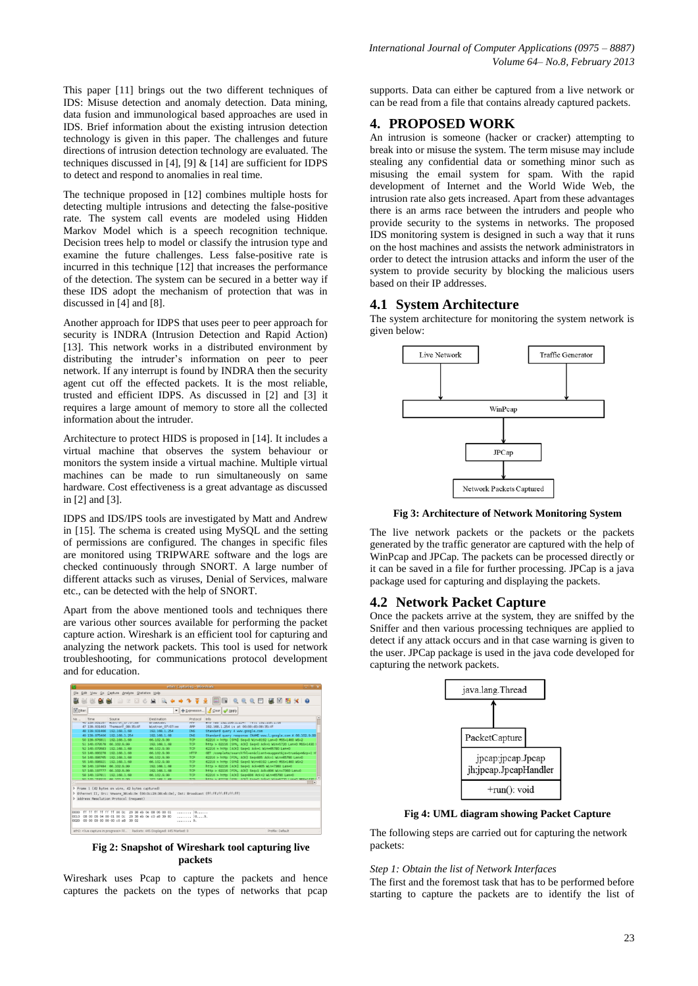This paper [11] brings out the two different techniques of IDS: Misuse detection and anomaly detection. Data mining, data fusion and immunological based approaches are used in IDS. Brief information about the existing intrusion detection technology is given in this paper. The challenges and future directions of intrusion detection technology are evaluated. The techniques discussed in [4], [9]  $&$  [14] are sufficient for IDPS to detect and respond to anomalies in real time.

The technique proposed in [12] combines multiple hosts for detecting multiple intrusions and detecting the false-positive rate. The system call events are modeled using Hidden Markov Model which is a speech recognition technique. Decision trees help to model or classify the intrusion type and examine the future challenges. Less false-positive rate is incurred in this technique [12] that increases the performance of the detection. The system can be secured in a better way if these IDS adopt the mechanism of protection that was in discussed in [4] and [8].

Another approach for IDPS that uses peer to peer approach for security is INDRA (Intrusion Detection and Rapid Action) [13]. This network works in a distributed environment by distributing the intruder's information on peer to peer network. If any interrupt is found by INDRA then the security agent cut off the effected packets. It is the most reliable, trusted and efficient IDPS. As discussed in [2] and [3] it requires a large amount of memory to store all the collected information about the intruder.

Architecture to protect HIDS is proposed in [14]. It includes a virtual machine that observes the system behaviour or monitors the system inside a virtual machine. Multiple virtual machines can be made to run simultaneously on same hardware. Cost effectiveness is a great advantage as discussed in [2] and [3].

IDPS and IDS/IPS tools are investigated by Matt and Andrew in [15]. The schema is created using MySQL and the setting of permissions are configured. The changes in specific files are monitored using TRIPWARE software and the logs are checked continuously through SNORT. A large number of different attacks such as viruses, Denial of Services, malware etc., can be detected with the help of SNORT.

Apart from the above mentioned tools and techniques there are various other sources available for performing the packet capture action. Wireshark is an efficient tool for capturing and analyzing the network packets. This tool is used for network troubleshooting, for communications protocol development and for education.



**Fig 2: Snapshot of Wireshark tool capturing live packets**

Wireshark uses Pcap to capture the packets and hence captures the packets on the types of networks that pcap

supports. Data can either be captured from a live network or can be read from a file that contains already captured packets.

# **4. PROPOSED WORK**

An intrusion is someone (hacker or cracker) attempting to break into or misuse the system. The term misuse may include stealing any confidential data or something minor such as misusing the email system for spam. With the rapid development of Internet and the World Wide Web, the intrusion rate also gets increased. Apart from these advantages there is an arms race between the intruders and people who provide security to the systems in networks. The proposed IDS monitoring system is designed in such a way that it runs on the host machines and assists the network administrators in order to detect the intrusion attacks and inform the user of the system to provide security by blocking the malicious users based on their IP addresses.

## **4.1 System Architecture**

The system architecture for monitoring the system network is given below:



**Fig 3: Architecture of Network Monitoring System**

The live network packets or the packets or the packets generated by the traffic generator are captured with the help of WinPcap and JPCap. The packets can be processed directly or it can be saved in a file for further processing. JPCap is a java package used for capturing and displaying the packets.

## **4.2 Network Packet Capture**

Once the packets arrive at the system, they are sniffed by the Sniffer and then various processing techniques are applied to detect if any attack occurs and in that case warning is given to the user. JPCap package is used in the java code developed for capturing the network packets.



**Fig 4: UML diagram showing Packet Capture**

The following steps are carried out for capturing the network packets:

#### *Step 1: Obtain the list of Network Interfaces*

The first and the foremost task that has to be performed before starting to capture the packets are to identify the list of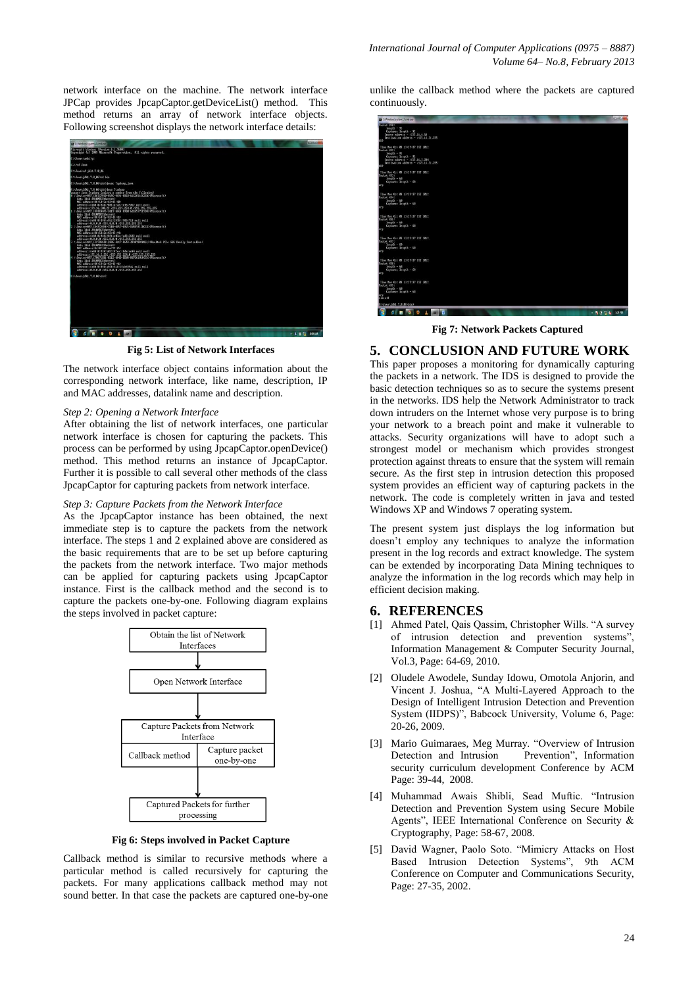network interface on the machine. The network interface JPCap provides JpcapCaptor.getDeviceList() method. This method returns an array of network interface objects. Following screenshot displays the network interface details:



**Fig 5: List of Network Interfaces**

The network interface object contains information about the corresponding network interface, like name, description, IP and MAC addresses, datalink name and description.

#### *Step 2: Opening a Network Interface*

After obtaining the list of network interfaces, one particular network interface is chosen for capturing the packets. This process can be performed by using JpcapCaptor.openDevice() method. This method returns an instance of JpcapCaptor. Further it is possible to call several other methods of the class JpcapCaptor for capturing packets from network interface.

#### *Step 3: Capture Packets from the Network Interface*

As the JpcapCaptor instance has been obtained, the next immediate step is to capture the packets from the network interface. The steps 1 and 2 explained above are considered as the basic requirements that are to be set up before capturing the packets from the network interface. Two major methods can be applied for capturing packets using JpcapCaptor instance. First is the callback method and the second is to capture the packets one-by-one. Following diagram explains the steps involved in packet capture:



**Fig 6: Steps involved in Packet Capture**

Callback method is similar to recursive methods where a particular method is called recursively for capturing the packets. For many applications callback method may not sound better. In that case the packets are captured one-by-one unlike the callback method where the packets are captured continuously.

| C/Windowsloystem32\cmd.cvc                                                                                                                                                        |  |  | <b>REGISTER</b> |
|-----------------------------------------------------------------------------------------------------------------------------------------------------------------------------------|--|--|-----------------|
| 2014/05/23<br>length - 92<br>Captures length - 92<br>Source address - /172.16.6.58<br>Destination address - /172.16.31.255<br>TO <sub>2</sub>                                     |  |  |                 |
| Time Mon Oct 88 13:29:37 IST 2012<br>Packet 492:<br>$length - 92$<br>Captures langth - 92<br>Source address - /172.16.2.284<br>Bestination address - /172.16.31.255<br><b>IDP</b> |  |  |                 |
| Time Mon Oct 88 13:29:37 IST 2012<br>Packet 493:<br>$length - 60$<br>Captures length - 68<br><b>APP</b>                                                                           |  |  |                 |
| Time Mon Oct 08 13:29:37 15T 2012<br>Packet 494:<br>$length = 68$<br>Captures length - 60<br><b>Ary</b>                                                                           |  |  |                 |
| Time Mon Oct 88 13:29:37 IST 2012<br>Packet 4953<br>$length - 68$<br>Captures length - 60<br><b>Ary</b>                                                                           |  |  |                 |
| Time Mon Oct 88 13:29:37 IST 2012<br>Facket 497:<br>length - 60<br>Captures length - 60<br>laro.                                                                                  |  |  |                 |
| Time Mon Oct 08 13:29:37 IST 2012<br>Packet 498:<br>$length - 68$<br>Captures langth - 68<br><b>Serve</b>                                                                         |  |  |                 |
| Time Moo Oct 88 13:29:37 15T 2R12<br>Packet 499:<br>$length - 68$<br>Ceptures length - 68<br>arp<br>elbse : 8                                                                     |  |  |                 |
| Crydauax jdkt. 7.8_86 Atin>                                                                                                                                                       |  |  |                 |
| <b>GIR 9 0 1 8 6</b>                                                                                                                                                              |  |  | - 1 3 6 13 M    |
|                                                                                                                                                                                   |  |  |                 |

**Fig 7: Network Packets Captured**

#### **5. CONCLUSION AND FUTURE WORK**

This paper proposes a monitoring for dynamically capturing the packets in a network. The IDS is designed to provide the basic detection techniques so as to secure the systems present in the networks. IDS help the Network Administrator to track down intruders on the Internet whose very purpose is to bring your network to a breach point and make it vulnerable to attacks. Security organizations will have to adopt such a strongest model or mechanism which provides strongest protection against threats to ensure that the system will remain secure. As the first step in intrusion detection this proposed system provides an efficient way of capturing packets in the network. The code is completely written in java and tested Windows XP and Windows 7 operating system.

The present system just displays the log information but doesn't employ any techniques to analyze the information present in the log records and extract knowledge. The system can be extended by incorporating Data Mining techniques to analyze the information in the log records which may help in efficient decision making.

## **6. REFERENCES**

- [1] Ahmed Patel, Qais Qassim, Christopher Wills. "A survey of intrusion detection and prevention systems", Information Management & Computer Security Journal, Vol.3, Page: 64-69, 2010.
- [2] Oludele Awodele, Sunday Idowu, Omotola Anjorin, and Vincent J. Joshua, "A Multi-Layered Approach to the Design of Intelligent Intrusion Detection and Prevention System (IIDPS)", Babcock University, Volume 6, Page: 20-26, 2009.
- [3] Mario Guimaraes, Meg Murray. "Overview of Intrusion Detection and Intrusion Prevention", Information security curriculum development Conference by ACM Page: 39-44, 2008.
- [4] Muhammad Awais Shibli, Sead Muftic. "Intrusion Detection and Prevention System using Secure Mobile Agents", IEEE International Conference on Security & Cryptography, Page: 58-67, 2008.
- [5] David Wagner, Paolo Soto. "Mimicry Attacks on Host Based Intrusion Detection Systems", 9th ACM Conference on Computer and Communications Security, Page: 27-35, 2002.